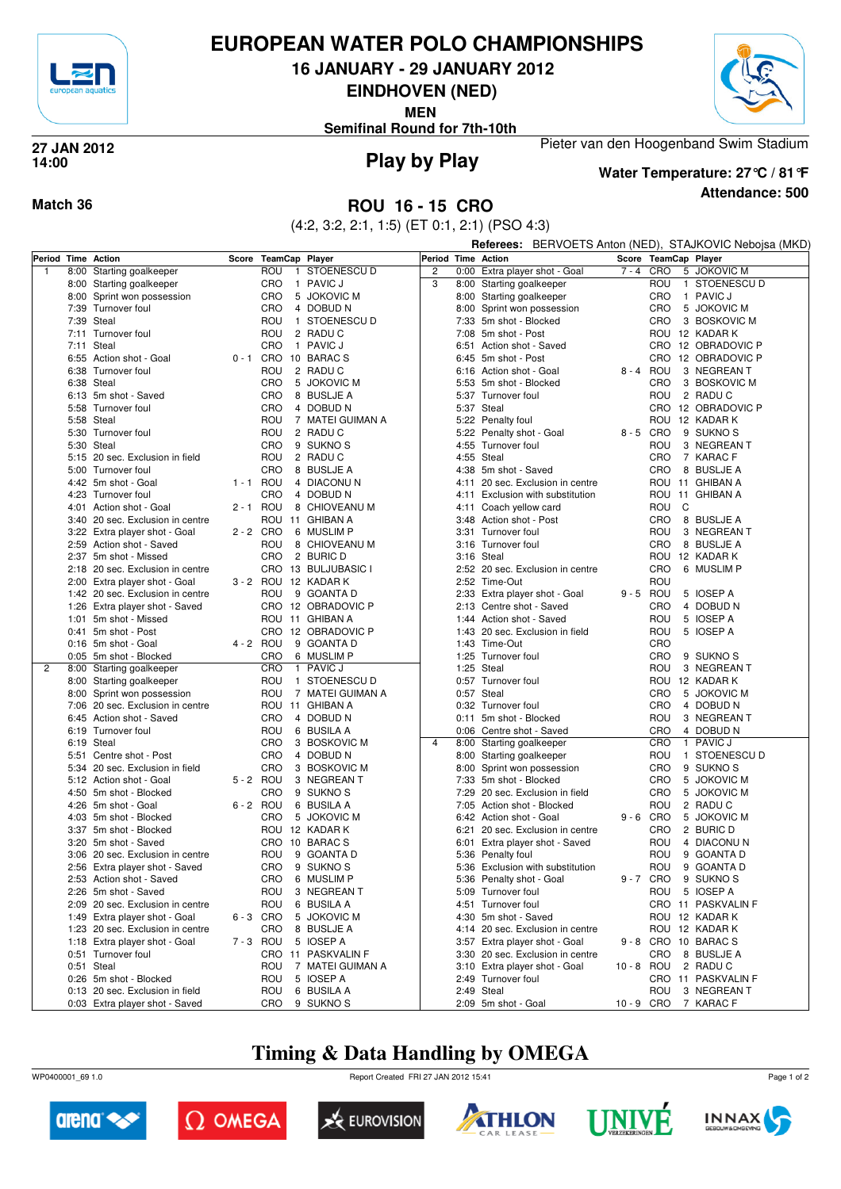

## **EUROPEAN WATER POLO CHAMPIONSHIPS**

**16 JANUARY - 29 JANUARY 2012**

**EINDHOVEN (NED)**

**MEN**

**Semifinal Round for 7th-10th**



**Play by Play 27 JAN 2012 14:00**

**Attendance: 500 Water Temperature: 27°C / 81°F**

Pieter van den Hoogenband Swim Stadium

**Match 36 ROU 16 - 15 CRO**

(4:2, 3:2, 2:1, 1:5) (ET 0:1, 2:1) (PSO 4:3)

|   |      |                                       |             |                      |                           |                    |      | <b>Referees:</b> BERVOETS Anton (NED), STAJKOVIC Nebojsa (MKD) |            |             |   |                        |  |  |
|---|------|---------------------------------------|-------------|----------------------|---------------------------|--------------------|------|----------------------------------------------------------------|------------|-------------|---|------------------------|--|--|
|   |      | Period Time Action                    |             | Score TeamCap Player |                           | Period Time Action |      |                                                                |            |             |   | Score TeamCap Player   |  |  |
| 1 |      | 8:00 Starting goalkeeper              |             | ROU                  | 1 STOENESCU D             | $\overline{c}$     |      | 0:00 Extra player shot - Goal                                  | $7 - 4$    | CRO         |   | 5 JOKOVIC M            |  |  |
|   |      | 8:00 Starting goalkeeper              |             | CRO                  | 1 PAVIC J                 | 3                  |      | 8:00 Starting goalkeeper                                       |            | ROU         |   | 1 STOENESCU D          |  |  |
|   |      | 8:00 Sprint won possession            |             | CRO                  | 5 JOKOVIC M               |                    |      | 8:00 Starting goalkeeper                                       |            | CRO         |   | 1 PAVIC J              |  |  |
|   |      | 7:39 Turnover foul                    |             | CRO                  | 4 DOBUD N                 |                    |      | 8:00 Sprint won possession                                     |            | CRO         |   | 5 JOKOVIC M            |  |  |
|   |      | 7:39 Steal                            |             | ROU                  | 1 STOENESCU D             |                    |      | 7:33 5m shot - Blocked                                         |            | CRO         |   | 3 BOSKOVIC M           |  |  |
|   |      | 7:11 Turnover foul                    |             | ROU                  | 2 RADUC                   |                    |      | 7:08 5m shot - Post                                            |            |             |   | ROU 12 KADAR K         |  |  |
|   |      | 7:11 Steal                            |             | CRO                  | 1 PAVIC J                 |                    | 6:51 | Action shot - Saved                                            |            |             |   | CRO 12 OBRADOVIC P     |  |  |
|   |      | 6:55 Action shot - Goal               |             |                      | 0-1 CRO 10 BARACS         |                    |      | 6:45 5m shot - Post                                            |            |             |   | CRO 12 OBRADOVIC P     |  |  |
|   |      | 6:38 Turnover foul                    |             | ROU                  | 2 RADUC                   |                    | 6:16 | Action shot - Goal                                             |            | 8-4 ROU     |   | 3 NEGREAN T            |  |  |
|   |      | 6:38 Steal                            |             | CRO                  | 5 JOKOVIC M               |                    |      | 5:53 5m shot - Blocked                                         |            | CRO         |   | 3 BOSKOVIC M           |  |  |
|   |      | 6:13 5m shot - Saved                  |             | CRO                  | 8 BUSLJE A                |                    |      | 5:37 Turnover foul                                             |            | ROU         |   | 2 RADU C               |  |  |
|   |      | 5:58 Turnover foul                    |             | CRO                  | 4 DOBUD N                 |                    |      | 5:37 Steal                                                     |            |             |   | CRO 12 OBRADOVIC P     |  |  |
|   |      | 5:58 Steal                            |             | ROU                  | 7 MATEI GUIMAN A          |                    |      | 5:22 Penalty foul                                              |            | rou         |   | 12 KADAR K             |  |  |
|   |      | 5:30 Turnover foul                    |             | ROU                  | 2 RADUC                   |                    |      | 5:22 Penalty shot - Goal                                       |            | 8-5 CRO     |   | 9 SUKNO <sub>S</sub>   |  |  |
|   |      | 5:30 Steal                            |             | CRO                  | 9 SUKNO <sub>S</sub>      |                    |      | 4:55 Turnover foul                                             |            | ROU         |   | 3 NEGREAN T            |  |  |
|   |      | 5:15 20 sec. Exclusion in field       |             | ROU                  | 2 RADUC                   |                    |      | 4:55 Steal                                                     |            | CRO         |   | 7 KARAC F              |  |  |
|   |      | 5:00 Turnover foul                    |             | CRO                  | 8 BUSLJE A                |                    |      | 4:38 5m shot - Saved                                           |            | CRO         |   | 8 BUSLJE A             |  |  |
|   |      | 4:42 5m shot - Goal                   | 1 - 1 ROU   |                      | 4 DIACONUN                |                    | 4:11 | 20 sec. Exclusion in centre                                    |            |             |   | ROU 11 GHIBAN A        |  |  |
|   |      | 4:23 Turnover foul                    |             | <b>CRO</b>           | 4 DOBUD N                 |                    |      | 4:11 Exclusion with substitution                               |            |             |   | ROU 11 GHIBAN A        |  |  |
|   | 4:01 | Action shot - Goal                    | $2 - 1$ ROU |                      | 8 CHIOVEANU M             |                    |      | 4:11 Coach yellow card                                         |            | ROU         | C |                        |  |  |
|   |      | 3:40 20 sec. Exclusion in centre      |             |                      | ROU 11 GHIBAN A           |                    |      | 3:48 Action shot - Post                                        |            | CRO         |   | 8 BUSLJE A             |  |  |
|   |      | 3:22 Extra player shot - Goal         | 2 - 2 CRO   |                      | 6 MUSLIM P                |                    |      | 3:31 Turnover foul                                             |            | ROU         |   | 3 NEGREAN T            |  |  |
|   |      | 2:59 Action shot - Saved              |             | ROU                  | 8 CHIOVEANU M             |                    |      | 3:16 Turnover foul                                             |            | CRO         |   | 8 BUSLJE A             |  |  |
|   |      | 2:37 5m shot - Missed                 |             | <b>CRO</b>           | 2 BURIC D                 |                    |      | 3:16 Steal                                                     |            | ROU         |   | 12 KADAR K             |  |  |
|   |      | 2:18 20 sec. Exclusion in centre      |             |                      | CRO 13 BULJUBASIC I       |                    |      | 2:52 20 sec. Exclusion in centre                               |            | CRO         |   | 6 MUSLIM P             |  |  |
|   |      | 2:00 Extra player shot - Goal         |             |                      | 3 - 2 ROU 12 KADAR K      |                    |      | 2:52 Time-Out                                                  |            | ROU         |   |                        |  |  |
|   |      | 1:42 20 sec. Exclusion in centre      |             | ROU                  | 9 GOANTA D                |                    |      | 2:33 Extra player shot - Goal                                  |            | 9-5 ROU     |   | 5 IOSEP A              |  |  |
|   |      | 1:26 Extra player shot - Saved        |             |                      | CRO 12 OBRADOVIC P        |                    |      | 2:13 Centre shot - Saved                                       |            | CRO         |   | 4 DOBUD N              |  |  |
|   |      | 1:01 5m shot - Missed                 |             |                      | ROU 11 GHIBAN A           |                    |      | 1:44 Action shot - Saved                                       |            | ROU         |   | 5 IOSEP A              |  |  |
|   |      | 0:41 5m shot - Post                   |             |                      | CRO 12 OBRADOVIC P        |                    |      | 1:43 20 sec. Exclusion in field                                |            | ROU         |   | 5 IOSEP A              |  |  |
|   |      | 0:16 5m shot - Goal                   | 4 - 2 ROU   |                      | 9 GOANTA D                |                    |      | 1:43 Time-Out                                                  |            | CRO         |   |                        |  |  |
|   |      | 0:05 5m shot - Blocked                |             | CRO                  | 6 MUSLIM P                |                    |      | 1:25 Turnover foul                                             |            | CRO         |   | 9 SUKNO <sub>S</sub>   |  |  |
| 2 |      | 8:00 Starting goalkeeper              |             | <b>CRO</b>           | 1 PAVIC J                 |                    |      | 1:25 Steal                                                     |            | ROU         |   | 3 NEGREAN T            |  |  |
|   |      | 8:00 Starting goalkeeper              |             | ROU                  | 1 STOENESCU D             |                    |      | 0:57 Turnover foul                                             |            |             |   | ROU 12 KADAR K         |  |  |
|   |      | 8:00 Sprint won possession            |             | ROU                  | 7 MATEI GUIMAN A          |                    |      | 0:57 Steal                                                     |            | CRO         |   | 5 JOKOVIC M            |  |  |
|   |      | 7:06 20 sec. Exclusion in centre      |             |                      | ROU 11 GHIBAN A           |                    |      | 0:32 Turnover foul                                             |            | CRO         |   | 4 DOBUD N              |  |  |
|   |      | 6:45 Action shot - Saved              |             | CRO                  | 4 DOBUD N                 |                    |      | 0:11 5m shot - Blocked                                         |            | ROU         |   | 3 NEGREAN T            |  |  |
|   |      | 6:19 Turnover foul                    |             | ROU<br>CRO           | 6 BUSILA A                | $\overline{4}$     |      | 0:06 Centre shot - Saved                                       |            | CRO<br>CRO  |   | 4 DOBUD N<br>1 PAVIC J |  |  |
|   |      | 6:19 Steal<br>5:51 Centre shot - Post |             | CRO                  | 3 BOSKOVIC M<br>4 DOBUD N |                    |      | 8:00 Starting goalkeeper                                       |            | ROU         |   | 1 STOENESCU D          |  |  |
|   |      | 5:34 20 sec. Exclusion in field       |             | CRO                  | 3 BOSKOVIC M              |                    | 8:00 | 8:00 Starting goalkeeper                                       |            | CRO         |   | 9 SUKNO <sub>S</sub>   |  |  |
|   |      | 5:12 Action shot - Goal               | 5-2 ROU     |                      | 3 NEGREAN T               |                    |      | Sprint won possession<br>7:33 5m shot - Blocked                |            | CRO         |   | 5 JOKOVIC M            |  |  |
|   |      | 4:50 5m shot - Blocked                |             | CRO                  | 9 SUKNO <sub>S</sub>      |                    | 7:29 | 20 sec. Exclusion in field                                     |            | CRO         |   | 5 JOKOVIC M            |  |  |
|   |      | 4:26 5m shot - Goal                   | $6 - 2$ ROU |                      | 6 BUSILA A                |                    |      | 7:05 Action shot - Blocked                                     |            | ROU         |   | 2 RADUC                |  |  |
|   |      | 4:03 5m shot - Blocked                |             | CRO                  | 5 JOKOVIC M               |                    |      | 6:42 Action shot - Goal                                        |            | $9 - 6$ CRO |   | 5 JOKOVIC M            |  |  |
|   |      | 3:37 5m shot - Blocked                |             |                      | ROU 12 KADAR K            |                    | 6:21 | 20 sec. Exclusion in centre                                    |            | CRO         |   | 2 BURIC D              |  |  |
|   |      | 3:20 5m shot - Saved                  |             |                      | CRO 10 BARACS             |                    |      | 6:01 Extra player shot - Saved                                 |            | ROU         |   | 4 DIACONUN             |  |  |
|   |      | 3:06 20 sec. Exclusion in centre      |             | ROU                  | 9 GOANTA D                |                    |      | 5:36 Penalty foul                                              |            | ROU         |   | 9 GOANTA D             |  |  |
|   |      | 2:56 Extra player shot - Saved        |             | CRO                  | 9 SUKNO <sub>S</sub>      |                    |      | 5:36 Exclusion with substitution                               |            | ROU         |   | 9 GOANTA D             |  |  |
|   |      | 2:53 Action shot - Saved              |             | CRO                  | 6 MUSLIM P                |                    |      | 5:36 Penalty shot - Goal                                       |            | 9-7 CRO     |   | 9 SUKNO S              |  |  |
|   |      | 2:26 5m shot - Saved                  |             | ROU                  | 3 NEGREAN T               |                    |      | 5:09 Turnover foul                                             |            | ROU         |   | 5 IOSEP A              |  |  |
|   |      | 2:09 20 sec. Exclusion in centre      |             | ROU                  | 6 BUSILA A                |                    |      | 4:51 Turnover foul                                             |            |             |   | CRO 11 PASKVALIN F     |  |  |
|   |      | 1:49 Extra player shot - Goal         | 6-3 CRO     |                      | 5 JOKOVIC M               |                    |      | 4:30 5m shot - Saved                                           |            |             |   | ROU 12 KADAR K         |  |  |
|   |      | 1:23 20 sec. Exclusion in centre      |             | CRO                  | 8 BUSLJE A                |                    |      | 4:14 20 sec. Exclusion in centre                               |            |             |   | ROU 12 KADAR K         |  |  |
|   |      | 1:18 Extra player shot - Goal         | 7-3 ROU     |                      | 5 IOSEP A                 |                    |      | 3:57 Extra player shot - Goal                                  |            |             |   | 9 - 8 CRO 10 BARAC S   |  |  |
|   |      | 0:51 Turnover foul                    |             |                      | CRO 11 PASKVALIN F        |                    |      | 3:30 20 sec. Exclusion in centre                               |            | CRO         |   | 8 BUSLJE A             |  |  |
|   |      | 0:51 Steal                            |             | ROU                  | 7 MATEI GUIMAN A          |                    |      | 3:10 Extra player shot - Goal                                  | 10 - 8 ROU |             |   | 2 RADU C               |  |  |
|   |      | 0:26 5m shot - Blocked                |             | ROU                  | 5 IOSEP A                 |                    |      | 2:49 Turnover foul                                             |            |             |   | CRO 11 PASKVALIN F     |  |  |
|   |      | 0:13 20 sec. Exclusion in field       |             | ROU                  | 6 BUSILA A                |                    |      | 2:49 Steal                                                     |            | ROU         |   | 3 NEGREAN T            |  |  |
|   |      | 0:03 Extra player shot - Saved        |             | CRO                  | 9 SUKNO <sub>S</sub>      |                    |      | 2:09 5m shot - Goal                                            | 10-9 CRO   |             |   | 7 KARAC F              |  |  |
|   |      |                                       |             |                      |                           |                    |      |                                                                |            |             |   |                        |  |  |

# **Timing & Data Handling by OMEGA**

WP0400001\_69 1.0 Report Created FRI 27 JAN 2012 15:41













Page 1 of 2